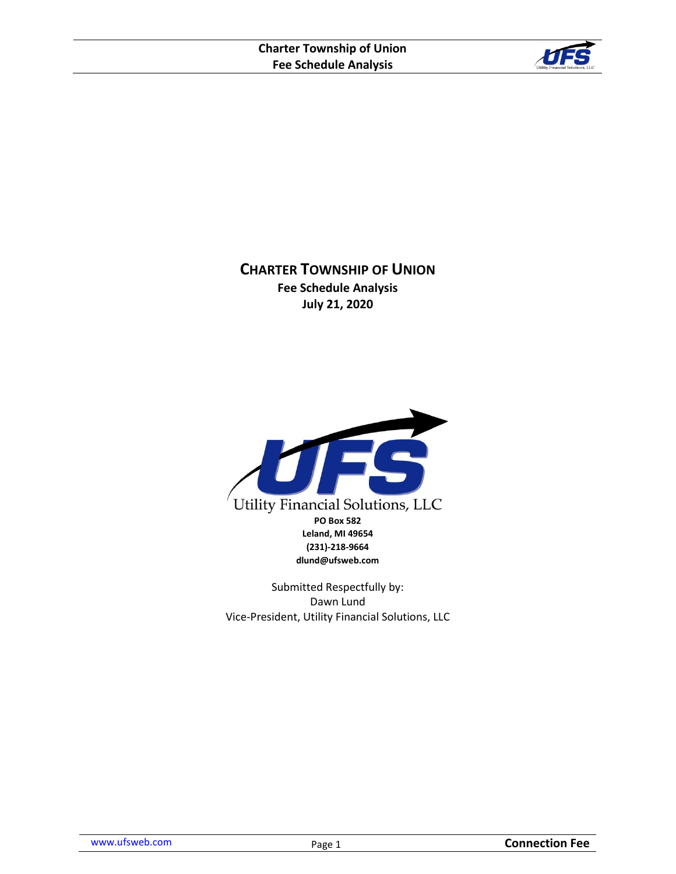

**CHARTER TOWNSHIP OF UNION Fee Schedule Analysis July 21, 2020**



Submitted Respectfully by: Dawn Lund Vice-President, Utility Financial Solutions, LLC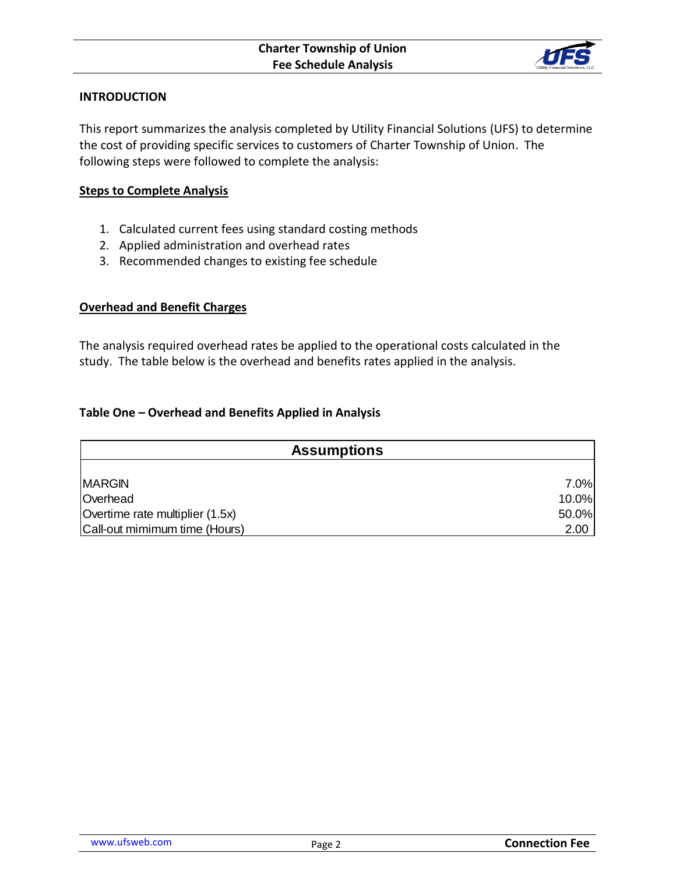

# **INTRODUCTION**

This report summarizes the analysis completed by Utility Financial Solutions (UFS) to determine the cost of providing specific services to customers of Charter Township of Union. The following steps were followed to complete the analysis:

### **Steps to Complete Analysis**

- 1. Calculated current fees using standard costing methods
- 2. Applied administration and overhead rates
- 3. Recommended changes to existing fee schedule

# **Overhead and Benefit Charges**

The analysis required overhead rates be applied to the operational costs calculated in the study. The table below is the overhead and benefits rates applied in the analysis.

# **Table One – Overhead and Benefits Applied in Analysis**

| <b>Assumptions</b>              |       |  |  |
|---------------------------------|-------|--|--|
|                                 |       |  |  |
| <b>MARGIN</b>                   | 7.0%  |  |  |
| Overhead                        | 10.0% |  |  |
| Overtime rate multiplier (1.5x) | 50.0% |  |  |
| Call-out mimimum time (Hours)   | 2.00  |  |  |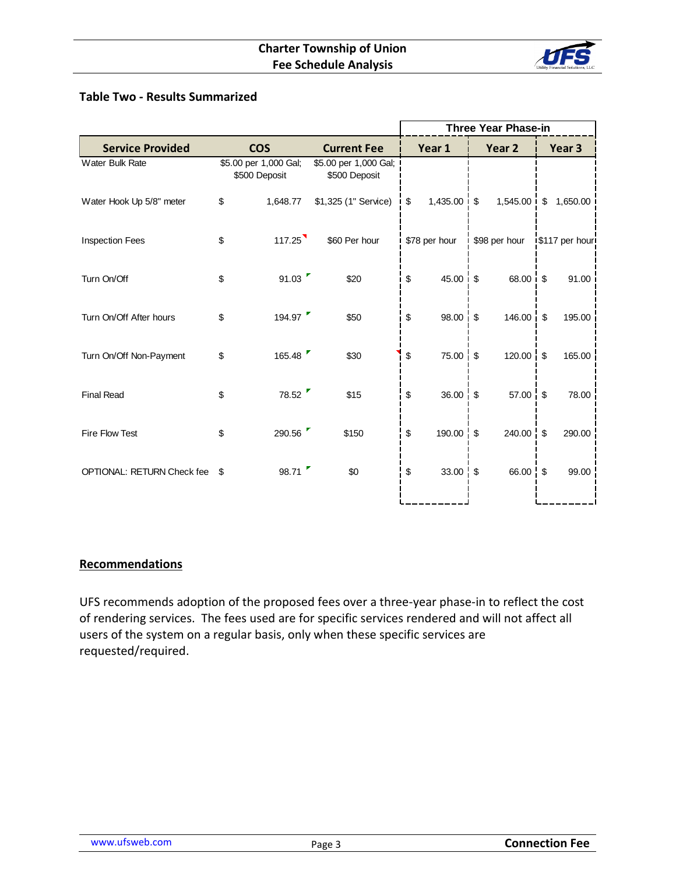

# **Table Two - Results Summarized**

|                            |                                        |                                        | <b>Three Year Phase-in</b> |                 |  |                   |  |                |
|----------------------------|----------------------------------------|----------------------------------------|----------------------------|-----------------|--|-------------------|--|----------------|
| <b>Service Provided</b>    | <b>COS</b>                             | <b>Current Fee</b>                     |                            | Year 1          |  | Year <sub>2</sub> |  | Year 3         |
| Water Bulk Rate            | \$5.00 per 1,000 Gal;<br>\$500 Deposit | \$5.00 per 1,000 Gal;<br>\$500 Deposit |                            |                 |  |                   |  |                |
| Water Hook Up 5/8" meter   | \$<br>1,648.77                         | \$1,325 (1" Service)                   | \$                         | $1,435.00$ \$   |  | $1,545.00$ \$     |  | 1,650.00       |
| <b>Inspection Fees</b>     | \$<br>117.25                           | \$60 Per hour                          |                            | \$78 per hour   |  | \$98 per hour     |  | \$117 per hour |
| Turn On/Off                | \$<br>91.03                            | \$20                                   | \$                         | $45.00 \div$ \$ |  | 68.00 : \$        |  | 91.00          |
| Turn On/Off After hours    | \$<br>194.97                           | \$50                                   | \$                         | 98.00 \$        |  | $146.00$ \$       |  | 195.00         |
| Turn On/Off Non-Payment    | \$<br>165.48                           | \$30                                   | \$                         | 75.00 \$        |  | $120.00 \quad $$  |  | 165.00         |
| <b>Final Read</b>          | \$<br>78.52                            | \$15                                   | \$                         | $36.00 - $$     |  | $57.00 :$ \$      |  | 78.00          |
| Fire Flow Test             | \$<br>290.56                           | \$150                                  | \$                         | $190.00$ \$     |  | $240.00$ \$       |  | 290.00         |
| OPTIONAL: RETURN Check fee | \$<br>98.71                            | \$0                                    | \$                         | 33.00 \$        |  | 66.00 \$          |  | 99.00          |
|                            |                                        |                                        |                            |                 |  |                   |  |                |

# **Recommendations**

UFS recommends adoption of the proposed fees over a three-year phase-in to reflect the cost of rendering services. The fees used are for specific services rendered and will not affect all users of the system on a regular basis, only when these specific services are requested/required.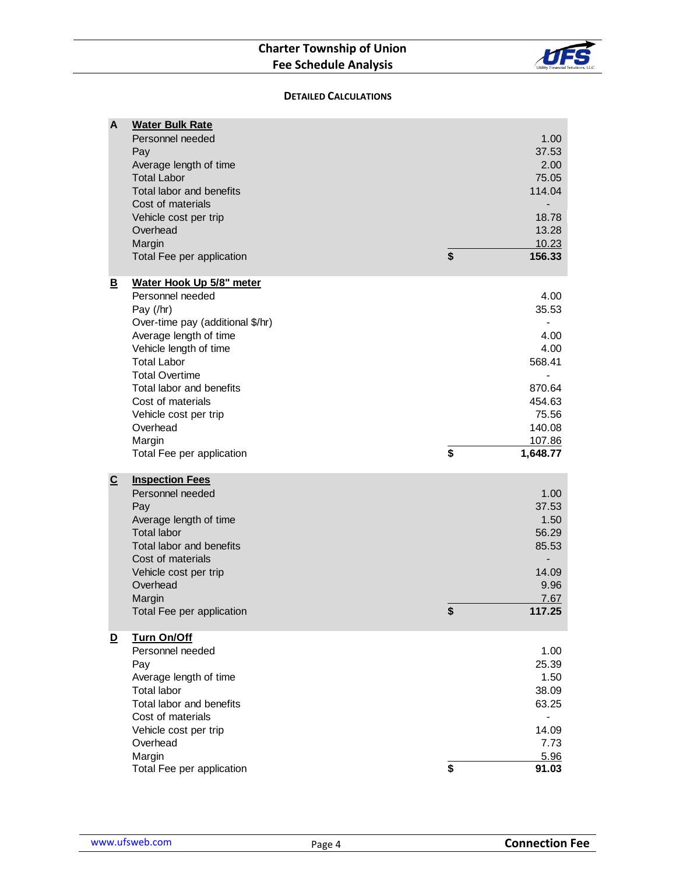# **Charter Township of Union Fee Schedule Analysis**



#### **DETAILED CALCULATIONS**

| A                       | <b>Water Bulk Rate</b><br>Personnel needed<br>Pay<br>Average length of time<br><b>Total Labor</b><br>Total labor and benefits<br>Cost of materials<br>Vehicle cost per trip<br>Overhead<br>Margin<br>Total Fee per application                                                                                                | \$<br>1.00<br>37.53<br>2.00<br>75.05<br>114.04<br>18.78<br>13.28<br>10.23<br>156.33                        |
|-------------------------|-------------------------------------------------------------------------------------------------------------------------------------------------------------------------------------------------------------------------------------------------------------------------------------------------------------------------------|------------------------------------------------------------------------------------------------------------|
| <u>B</u>                | Water Hook Up 5/8" meter<br>Personnel needed<br>Pay (/hr)<br>Over-time pay (additional \$/hr)<br>Average length of time<br>Vehicle length of time<br><b>Total Labor</b><br><b>Total Overtime</b><br>Total labor and benefits<br>Cost of materials<br>Vehicle cost per trip<br>Overhead<br>Margin<br>Total Fee per application | \$<br>4.00<br>35.53<br>4.00<br>4.00<br>568.41<br>870.64<br>454.63<br>75.56<br>140.08<br>107.86<br>1,648.77 |
| $\overline{c}$          | <b>Inspection Fees</b><br>Personnel needed<br>Pay<br>Average length of time<br><b>Total labor</b><br>Total labor and benefits<br>Cost of materials<br>Vehicle cost per trip<br>Overhead<br>Margin<br>Total Fee per application                                                                                                | \$<br>1.00<br>37.53<br>1.50<br>56.29<br>85.53<br>14.09<br>9.96<br>7.67<br>117.25                           |
| $\overline{\mathbf{D}}$ | Turn On/Off<br>Personnel needed<br>Pay<br>Average length of time<br><b>Total labor</b><br>Total labor and benefits<br>Cost of materials<br>Vehicle cost per trip<br>Overhead<br>Margin<br>Total Fee per application                                                                                                           | \$<br>1.00<br>25.39<br>1.50<br>38.09<br>63.25<br>14.09<br>7.73<br>5.96<br>91.03                            |